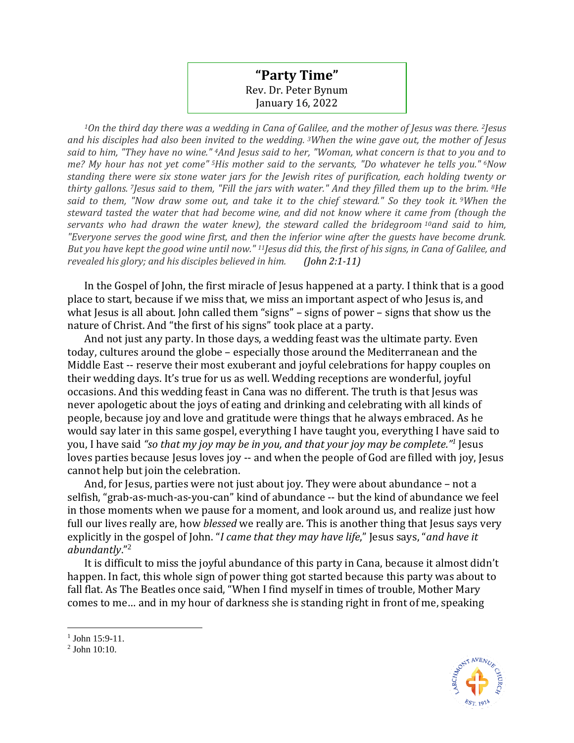## **"Party Time"** Rev. Dr. Peter Bynum January 16, 2022

*<sup>1</sup>On the third day there was a wedding in Cana of Galilee, and the mother of Jesus was there. <sup>2</sup>Jesus and his disciples had also been invited to the wedding. <sup>3</sup>When the wine gave out, the mother of Jesus said to him, "They have no wine." <sup>4</sup>And Jesus said to her, "Woman, what concern is that to you and to me? My hour has not yet come" <sup>5</sup>His mother said to the servants, "Do whatever he tells you." <sup>6</sup>Now standing there were six stone water jars for the Jewish rites of purification, each holding twenty or thirty gallons. <sup>7</sup>Jesus said to them, "Fill the jars with water." And they filled them up to the brim. <sup>8</sup>He said to them, "Now draw some out, and take it to the chief steward." So they took it. <sup>9</sup>When the steward tasted the water that had become wine, and did not know where it came from (though the servants who had drawn the water knew), the steward called the bridegroom <sup>10</sup>and said to him, "Everyone serves the good wine first, and then the inferior wine after the guests have become drunk. But you have kept the good wine until now." <sup>11</sup>Jesus did this, the first of his signs, in Cana of Galilee, and revealed his glory; and his disciples believed in him. (John 2:1-11)*

In the Gospel of John, the first miracle of Jesus happened at a party. I think that is a good place to start, because if we miss that, we miss an important aspect of who Jesus is, and what Jesus is all about. John called them "signs" – signs of power – signs that show us the nature of Christ. And "the first of his signs" took place at a party.

And not just any party. In those days, a wedding feast was the ultimate party. Even today, cultures around the globe – especially those around the Mediterranean and the Middle East -- reserve their most exuberant and joyful celebrations for happy couples on their wedding days. It's true for us as well. Wedding receptions are wonderful, joyful occasions. And this wedding feast in Cana was no different. The truth is that Jesus was never apologetic about the joys of eating and drinking and celebrating with all kinds of people, because joy and love and gratitude were things that he always embraced. As he would say later in this same gospel, everything I have taught you, everything I have said to you, I have said *"so that my joy may be in you, and that your joy may be complete."<sup>1</sup>* Jesus loves parties because Jesus loves joy -- and when the people of God are filled with joy, Jesus cannot help but join the celebration.

And, for Jesus, parties were not just about joy. They were about abundance – not a selfish, "grab-as-much-as-you-can" kind of abundance -- but the kind of abundance we feel in those moments when we pause for a moment, and look around us, and realize just how full our lives really are, how *blessed* we really are. This is another thing that Jesus says very explicitly in the gospel of John. "*I came that they may have life*," Jesus says, "*and have it abundantly*." 2

It is difficult to miss the joyful abundance of this party in Cana, because it almost didn't happen. In fact, this whole sign of power thing got started because this party was about to fall flat. As The Beatles once said, "When I find myself in times of trouble, Mother Mary comes to me… and in my hour of darkness she is standing right in front of me, speaking



<sup>1</sup> John 15:9-11.

<sup>2</sup> John 10:10.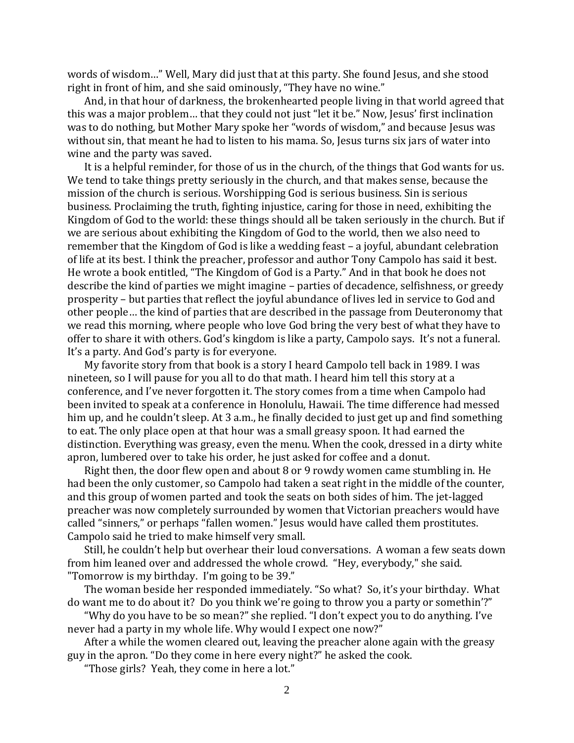words of wisdom…" Well, Mary did just that at this party. She found Jesus, and she stood right in front of him, and she said ominously, "They have no wine."

And, in that hour of darkness, the brokenhearted people living in that world agreed that this was a major problem… that they could not just "let it be." Now, Jesus' first inclination was to do nothing, but Mother Mary spoke her "words of wisdom," and because Jesus was without sin, that meant he had to listen to his mama. So, Jesus turns six jars of water into wine and the party was saved.

It is a helpful reminder, for those of us in the church, of the things that God wants for us. We tend to take things pretty seriously in the church, and that makes sense, because the mission of the church is serious. Worshipping God is serious business. Sin is serious business. Proclaiming the truth, fighting injustice, caring for those in need, exhibiting the Kingdom of God to the world: these things should all be taken seriously in the church. But if we are serious about exhibiting the Kingdom of God to the world, then we also need to remember that the Kingdom of God is like a wedding feast – a joyful, abundant celebration of life at its best. I think the preacher, professor and author Tony Campolo has said it best. He wrote a book entitled, "The Kingdom of God is a Party." And in that book he does not describe the kind of parties we might imagine – parties of decadence, selfishness, or greedy prosperity – but parties that reflect the joyful abundance of lives led in service to God and other people… the kind of parties that are described in the passage from Deuteronomy that we read this morning, where people who love God bring the very best of what they have to offer to share it with others. God's kingdom is like a party, Campolo says. It's not a funeral. It's a party. And God's party is for everyone.

My favorite story from that book is a story I heard Campolo tell back in 1989. I was nineteen, so I will pause for you all to do that math. I heard him tell this story at a conference, and I've never forgotten it. The story comes from a time when Campolo had been invited to speak at a conference in Honolulu, Hawaii. The time difference had messed him up, and he couldn't sleep. At 3 a.m., he finally decided to just get up and find something to eat. The only place open at that hour was a small greasy spoon. It had earned the distinction. Everything was greasy, even the menu. When the cook, dressed in a dirty white apron, lumbered over to take his order, he just asked for coffee and a donut.

Right then, the door flew open and about 8 or 9 rowdy women came stumbling in. He had been the only customer, so Campolo had taken a seat right in the middle of the counter, and this group of women parted and took the seats on both sides of him. The jet-lagged preacher was now completely surrounded by women that Victorian preachers would have called "sinners," or perhaps "fallen women." Jesus would have called them prostitutes. Campolo said he tried to make himself very small.

Still, he couldn't help but overhear their loud conversations. A woman a few seats down from him leaned over and addressed the whole crowd. "Hey, everybody," she said. "Tomorrow is my birthday. I'm going to be 39."

The woman beside her responded immediately. "So what? So, it's your birthday. What do want me to do about it? Do you think we're going to throw you a party or somethin'?"

"Why do you have to be so mean?" she replied. "I don't expect you to do anything. I've never had a party in my whole life. Why would I expect one now?"

After a while the women cleared out, leaving the preacher alone again with the greasy guy in the apron. "Do they come in here every night?" he asked the cook.

"Those girls? Yeah, they come in here a lot."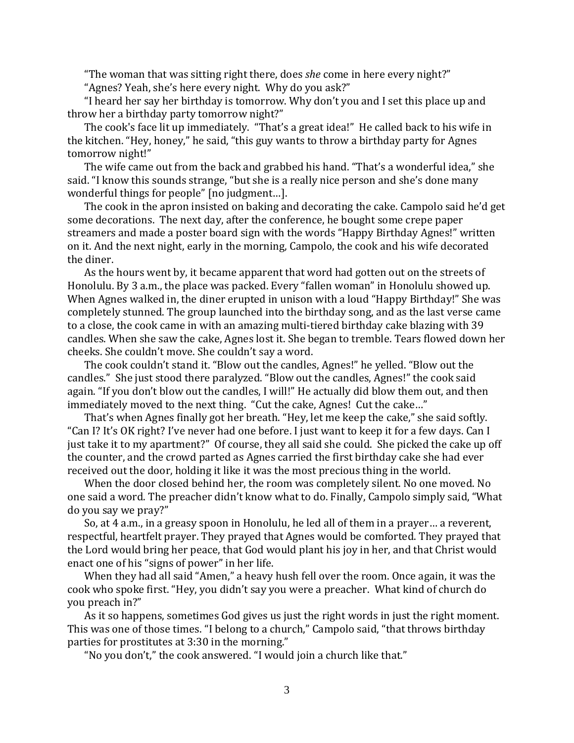"The woman that was sitting right there, does *she* come in here every night?"

"Agnes? Yeah, she's here every night. Why do you ask?"

"I heard her say her birthday is tomorrow. Why don't you and I set this place up and throw her a birthday party tomorrow night?"

The cook's face lit up immediately. "That's a great idea!" He called back to his wife in the kitchen. "Hey, honey," he said, "this guy wants to throw a birthday party for Agnes tomorrow night!"

The wife came out from the back and grabbed his hand. "That's a wonderful idea," she said. "I know this sounds strange, "but she is a really nice person and she's done many wonderful things for people" [no judgment…].

The cook in the apron insisted on baking and decorating the cake. Campolo said he'd get some decorations. The next day, after the conference, he bought some crepe paper streamers and made a poster board sign with the words "Happy Birthday Agnes!" written on it. And the next night, early in the morning, Campolo, the cook and his wife decorated the diner.

As the hours went by, it became apparent that word had gotten out on the streets of Honolulu. By 3 a.m., the place was packed. Every "fallen woman" in Honolulu showed up. When Agnes walked in, the diner erupted in unison with a loud "Happy Birthday!" She was completely stunned. The group launched into the birthday song, and as the last verse came to a close, the cook came in with an amazing multi-tiered birthday cake blazing with 39 candles. When she saw the cake, Agnes lost it. She began to tremble. Tears flowed down her cheeks. She couldn't move. She couldn't say a word.

The cook couldn't stand it. "Blow out the candles, Agnes!" he yelled. "Blow out the candles." She just stood there paralyzed. "Blow out the candles, Agnes!" the cook said again. "If you don't blow out the candles, I will!" He actually did blow them out, and then immediately moved to the next thing. "Cut the cake, Agnes! Cut the cake…"

That's when Agnes finally got her breath. "Hey, let me keep the cake," she said softly. "Can I? It's OK right? I've never had one before. I just want to keep it for a few days. Can I just take it to my apartment?" Of course, they all said she could. She picked the cake up off the counter, and the crowd parted as Agnes carried the first birthday cake she had ever received out the door, holding it like it was the most precious thing in the world.

When the door closed behind her, the room was completely silent. No one moved. No one said a word. The preacher didn't know what to do. Finally, Campolo simply said, "What do you say we pray?"

So, at 4 a.m., in a greasy spoon in Honolulu, he led all of them in a prayer… a reverent, respectful, heartfelt prayer. They prayed that Agnes would be comforted. They prayed that the Lord would bring her peace, that God would plant his joy in her, and that Christ would enact one of his "signs of power" in her life.

When they had all said "Amen," a heavy hush fell over the room. Once again, it was the cook who spoke first. "Hey, you didn't say you were a preacher. What kind of church do you preach in?"

As it so happens, sometimes God gives us just the right words in just the right moment. This was one of those times. "I belong to a church," Campolo said, "that throws birthday parties for prostitutes at 3:30 in the morning."

"No you don't," the cook answered. "I would join a church like that."